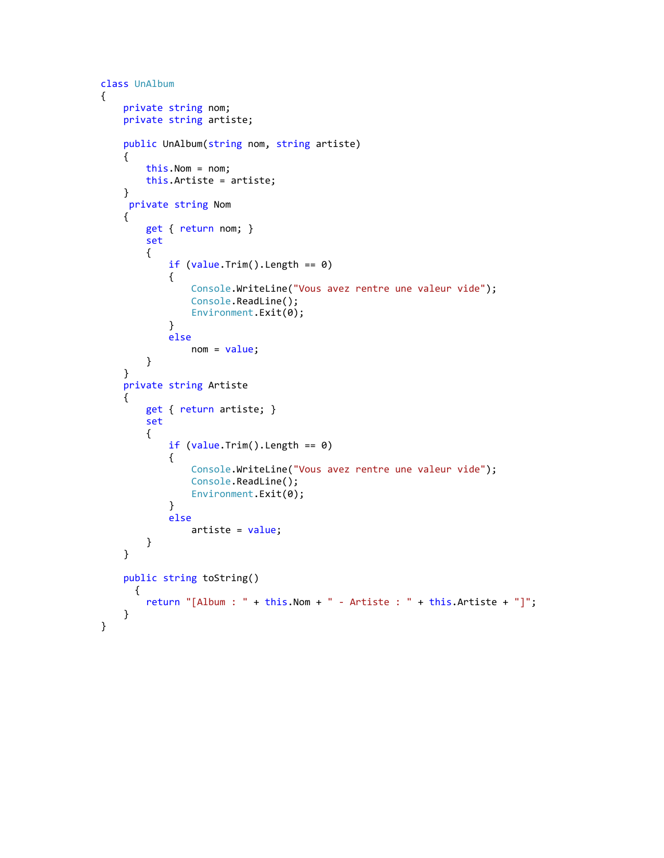```
 class UnAlbum
    {
        private string nom;
        private string artiste;
        public UnAlbum(string nom, string artiste)
         {
             this.Nom = nom;
            this.Artiste = artiste;
         }
         private string Nom
         {
            get { return nom; }
            set
\overline{\mathcal{L}}if (value.\text{Trim}().Length == 0)\overline{a} Console.WriteLine("Vous avez rentre une valeur vide");
                     Console.ReadLine();
                     Environment.Exit(0);
 }
                 else
                    nom = value; }
        }
        private string Artiste
         {
            get { return artiste; }
            set
\overline{\mathcal{L}} if (value.Trim().Length == 0)
\overline{a} Console.WriteLine("Vous avez rentre une valeur vide");
                     Console.ReadLine(); 
                     Environment.Exit(0);
 }
                 else
                     artiste = value;
 }
        }
        public string toString()
          {
            return "[Album : " + this. Nom + " - Artiste : " + this. Artiste + "]";
         }
    }
```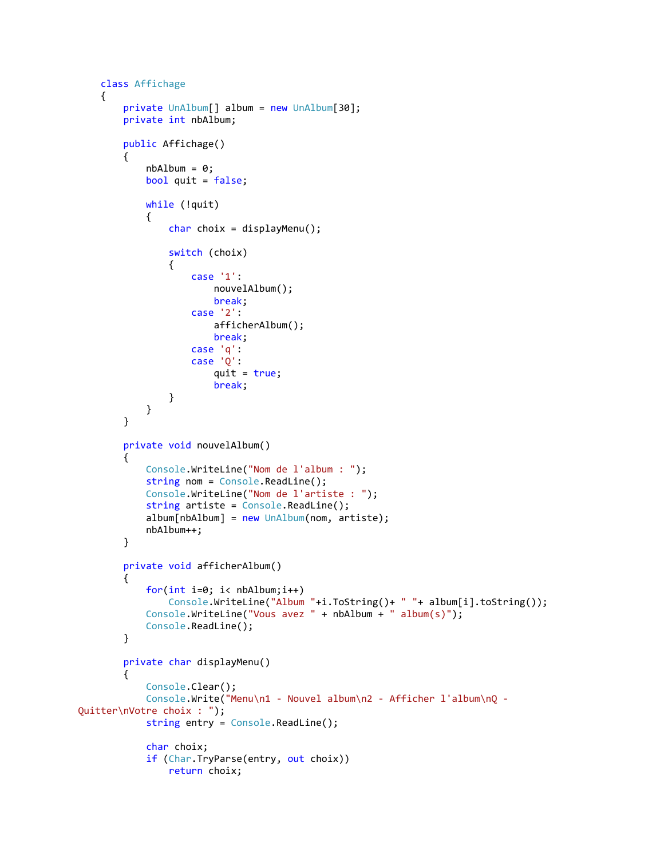```
 class Affichage
     {
         private UnAlbum[] album = new UnAlbum[30];
         private int nbAlbum;
         public Affichage()
         {
            nbAlbum = 0;
             bool quit = false;
             while (!quit)
\overline{\mathcal{L}}char choix = displayMenu();
                 switch (choix)
\overline{a} case '1':
                         nouvelAlbum();
                        break;
                     case '2':
                          afficherAlbum();
                         break;
                     case 'q':
                     case 'Q':
                         quit = true;
                         break;
 }
             }
         }
         private void nouvelAlbum()
         {
             Console.WriteLine("Nom de l'album : ");
            string nom = Console.ReadLine();
             Console.WriteLine("Nom de l'artiste : ");
            string artiste = Console.ReadLine();
            album[nbAlbum] = new UnAlbum(nom, artistic); nbAlbum++;
         }
         private void afficherAlbum()
         {
             for(int i=0; i< nbAlbum;i++)
                 Console.WriteLine("Album "+i.ToString()+ " "+ album[i].toString());
             Console.WriteLine("Vous avez " + nbAlbum + " album(s)");
             Console.ReadLine();
         }
         private char displayMenu()
         {
             Console.Clear();
             Console.Write("Menu\n1 - Nouvel album\n2 - Afficher l'album\nQ -
Quitter\nVotre choix : ");
             string entry = Console.ReadLine();
             char choix;
            if (Char.TryParse(entry, out choix))
                 return choix;
```